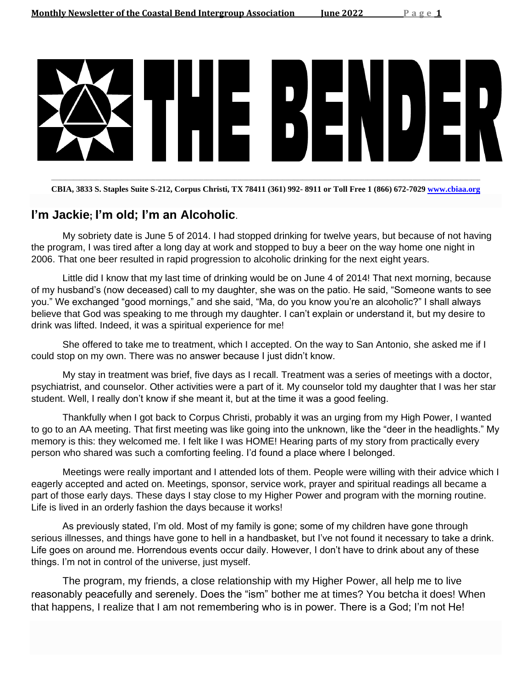

**CBIA, 3833 S. Staples Suite S-212, Corpus Christi, TX 78411 (361) 992- 8911 or Toll Free 1 (866) 672-7029 [www.cbiaa.org](http://www.cbiaa.org/)**

### **I'm Jackie; I'm old; I'm an Alcoholic**.

My sobriety date is June 5 of 2014. I had stopped drinking for twelve years, but because of not having the program, I was tired after a long day at work and stopped to buy a beer on the way home one night in 2006. That one beer resulted in rapid progression to alcoholic drinking for the next eight years.

Little did I know that my last time of drinking would be on June 4 of 2014! That next morning, because of my husband's (now deceased) call to my daughter, she was on the patio. He said, "Someone wants to see you." We exchanged "good mornings," and she said, "Ma, do you know you're an alcoholic?" I shall always believe that God was speaking to me through my daughter. I can't explain or understand it, but my desire to drink was lifted. Indeed, it was a spiritual experience for me!

She offered to take me to treatment, which I accepted. On the way to San Antonio, she asked me if I could stop on my own. There was no answer because I just didn't know.

My stay in treatment was brief, five days as I recall. Treatment was a series of meetings with a doctor, psychiatrist, and counselor. Other activities were a part of it. My counselor told my daughter that I was her star student. Well, I really don't know if she meant it, but at the time it was a good feeling.

Thankfully when I got back to Corpus Christi, probably it was an urging from my High Power, I wanted to go to an AA meeting. That first meeting was like going into the unknown, like the "deer in the headlights." My memory is this: they welcomed me. I felt like I was HOME! Hearing parts of my story from practically every person who shared was such a comforting feeling. I'd found a place where I belonged.

Meetings were really important and I attended lots of them. People were willing with their advice which I eagerly accepted and acted on. Meetings, sponsor, service work, prayer and spiritual readings all became a part of those early days. These days I stay close to my Higher Power and program with the morning routine. Life is lived in an orderly fashion the days because it works!

As previously stated, I'm old. Most of my family is gone; some of my children have gone through serious illnesses, and things have gone to hell in a handbasket, but I've not found it necessary to take a drink. Life goes on around me. Horrendous events occur daily. However, I don't have to drink about any of these things. I'm not in control of the universe, just myself.

The program, my friends, a close relationship with my Higher Power, all help me to live reasonably peacefully and serenely. Does the "ism" bother me at times? You betcha it does! When that happens, I realize that I am not remembering who is in power. There is a God; I'm not He!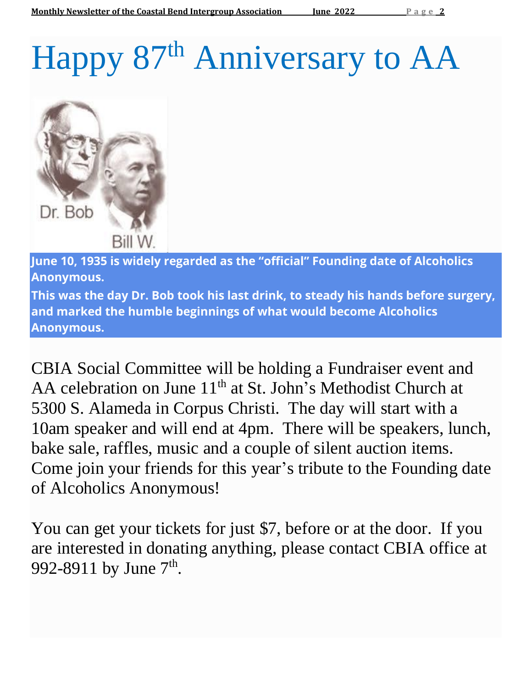# Happy 87<sup>th</sup> Anniversary to AA



**June 10, 1935 is widely regarded as the "official" Founding date of Alcoholics Anonymous.**

**This was the day Dr. Bob took his last drink, to steady his hands before surgery, and marked the humble beginnings of what would become Alcoholics Anonymous.**

CBIA Social Committee will be holding a Fundraiser event and AA celebration on June  $11<sup>th</sup>$  at St. John's Methodist Church at 5300 S. Alameda in Corpus Christi. The day will start with a 10am speaker and will end at 4pm. There will be speakers, lunch, bake sale, raffles, music and a couple of silent auction items. Come join your friends for this year's tribute to the Founding date of Alcoholics Anonymous!

You can get your tickets for just \$7, before or at the door. If you are interested in donating anything, please contact CBIA office at 992-8911 by June  $7^{\text{th}}$ .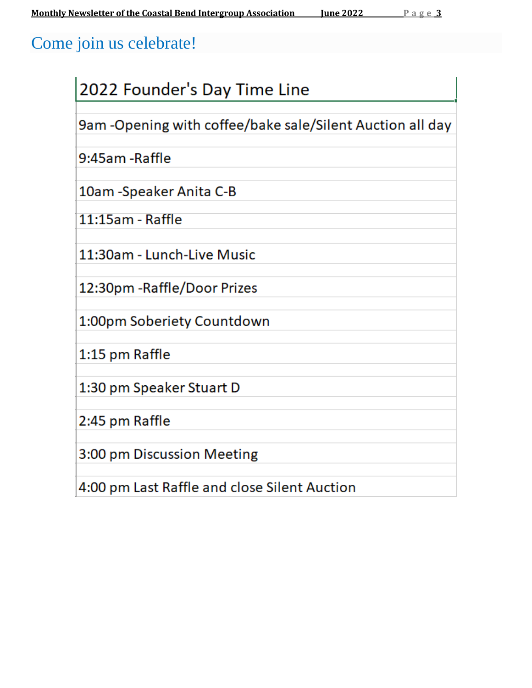# Come join us celebrate!

| 2022 Founder's Day Time Line                              |
|-----------------------------------------------------------|
| 9am -Opening with coffee/bake sale/Silent Auction all day |
| 9:45am -Raffle                                            |
| 10am -Speaker Anita C-B                                   |
| 11:15am - Raffle                                          |
| 11:30am - Lunch-Live Music                                |
| 12:30pm - Raffle/Door Prizes                              |
| 1:00pm Soberiety Countdown                                |
| 1:15 pm Raffle                                            |
| 1:30 pm Speaker Stuart D                                  |
| 2:45 pm Raffle                                            |
| 3:00 pm Discussion Meeting                                |
| 4:00 pm Last Raffle and close Silent Auction              |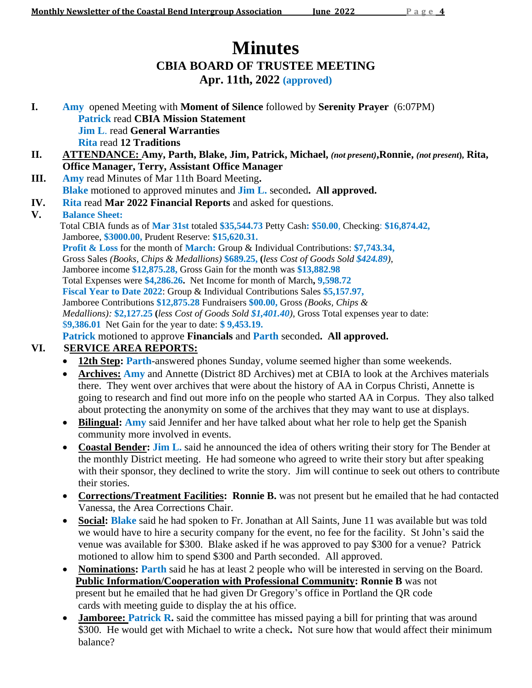# **Minutes CBIA BOARD OF TRUSTEE MEETING Apr. 11th, 2022 (approved)**

- **I. Amy** opened Meeting with **Moment of Silence** followed by **Serenity Prayer** (6:07PM) **Patrick** read **CBIA Mission Statement Jim L**. read **General Warranties Rita** read **12 Traditions**
- **II. ATTENDANCE: Amy, Parth, Blake, Jim, Patrick, Michael,** *(not present)***,Ronnie,** *(not present***), Rita, Office Manager, Terry, Assistant Office Manager**
- **III. Amy** read Minutes of Mar 11th Board Meeting**. Blake** motioned to approved minutes and **Jim L.** seconded**. All approved.**
- **IV. Rita** read **Mar 2022 Financial Reports** and asked for questions.

### **V. Balance Sheet:**

 Total CBIA funds as of **Mar 31st** totaled **\$35,544.73** Petty Cash**: \$50.00**, Checking: **\$16,874.42,**  Jamboree, **\$3000.00,** Prudent Reserve: **\$15,620.31. Profit & Loss** for the month of **March:** Group & Individual Contributions: **\$7,743.34,** Gross Sales *(Books, Chips & Medallions)* **\$689.25, (***less Cost of Goods Sold \$424.89)*, Jamboree income **\$12,875.28,** Gross Gain for the month was **\$13,882.98** Total Expenses were **\$4,286.26.** Net Income for month of March**, 9,598.72 Fiscal Year to Date 2022**: Group & Individual Contributions Sales **\$5,157.97,** Jamboree Contributions **\$12,875.28** Fundraisers **\$00.00,** Gross *(Books, Chips & Medallions):* **\$2,127.25 (***less Cost of Goods Sold \$1,401.40)*, Gross Total expenses year to date: \$**9,386.01**Net Gain for the year to date: **\$ 9,453.19. Patrick** motioned to approve **Financials** and **Parth** seconded**. All approved.**

### **VI. SERVICE AREA REPORTS:**

- 12th Step: Parth-answered phones Sunday, volume seemed higher than some weekends.
- **Archives: Amy** and Annette (District 8D Archives) met at CBIA to look at the Archives materials there. They went over archives that were about the history of AA in Corpus Christi, Annette is going to research and find out more info on the people who started AA in Corpus. They also talked about protecting the anonymity on some of the archives that they may want to use at displays.
- **Bilingual: Amy** said Jennifer and her have talked about what her role to help get the Spanish community more involved in events.
- **Coastal Bender: Jim L.** said he announced the idea of others writing their story for The Bender at the monthly District meeting. He had someone who agreed to write their story but after speaking with their sponsor, they declined to write the story. Jim will continue to seek out others to contribute their stories.
- **Corrections/Treatment Facilities: Ronnie B.** was not present but he emailed that he had contacted Vanessa, the Area Corrections Chair.
- **Social: Blake** said he had spoken to Fr. Jonathan at All Saints, June 11 was available but was told we would have to hire a security company for the event, no fee for the facility. St John's said the venue was available for \$300. Blake asked if he was approved to pay \$300 for a venue? Patrick motioned to allow him to spend \$300 and Parth seconded. All approved.
- **Nominations: Parth** said he has at least 2 people who will be interested in serving on the Board.  **Public Information/Cooperation with Professional Community: Ronnie B** was not present but he emailed that he had given Dr Gregory's office in Portland the QR code cards with meeting guide to display the at his office.
- **Jamboree: Patrick R.** said the committee has missed paying a bill for printing that was around \$300. He would get with Michael to write a check**.** Not sure how that would affect their minimum balance?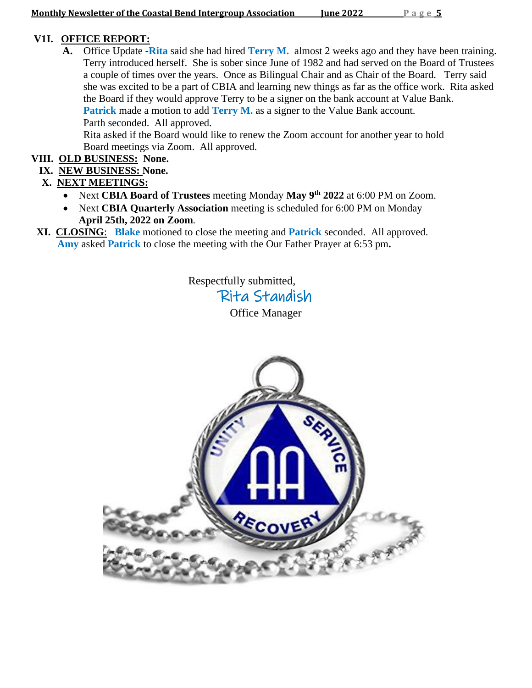### **V1I. OFFICE REPORT:**

**A.** Office Update -**Rita** said she had hired **Terry M.** almost 2 weeks ago and they have been training. Terry introduced herself. She is sober since June of 1982 and had served on the Board of Trustees a couple of times over the years. Once as Bilingual Chair and as Chair of the Board. Terry said she was excited to be a part of CBIA and learning new things as far as the office work. Rita asked the Board if they would approve Terry to be a signer on the bank account at Value Bank. **Patrick** made a motion to add **Terry M.** as a signer to the Value Bank account. Parth seconded. All approved.

 Rita asked if the Board would like to renew the Zoom account for another year to hold Board meetings via Zoom. All approved.

### **VIII. OLD BUSINESS: None.**

 **IX. NEW BUSINESS: None.**

### **X. NEXT MEETINGS:**

- Next **CBIA Board of Trustees** meeting Monday **May 9th 2022** at 6:00 PM on Zoom.
- Next **CBIA Quarterly Association** meeting is scheduled for 6:00 PM on Monday **April 25th, 2022 on Zoom***.*
- **XI. CLOSING**: **Blake** motioned to close the meeting and **Patrick** seconded. All approved.  **Amy** asked **Patrick** to close the meeting with the Our Father Prayer at 6:53 pm**.**

Respectfully submitted, Rita Standish Office Manager

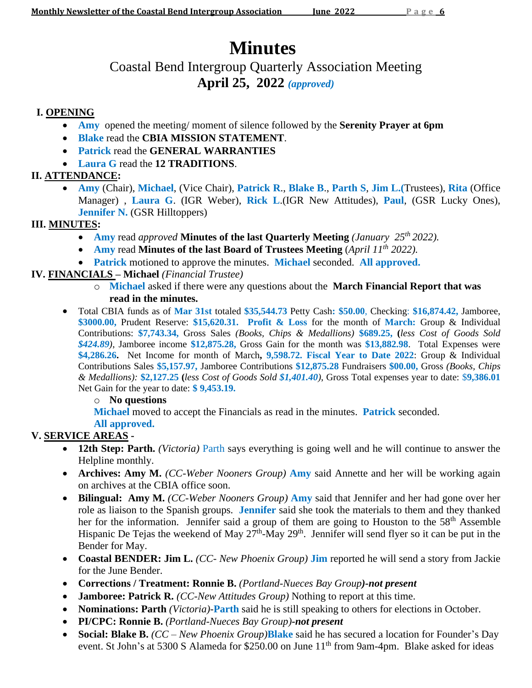# **Minutes**

# Coastal Bend Intergroup Quarterly Association Meeting **April 25, 2022** *(approved)*

### **I. OPENING**

- **Amy** opened the meeting/ moment of silence followed by the **Serenity Prayer at 6pm**
- **Blake** read the **CBIA MISSION STATEMENT**.
- **Patrick** read the **GENERAL WARRANTIES**
- **Laura G** read the **12 TRADITIONS**.

### **II. ATTENDANCE:**

• **Amy** (Chair), **Michael**, (Vice Chair), **Patrick R**., **Blake B**., **Parth S**, **Jim L.(**Trustees), **Rita** (Office Manager) , **Laura G**. (IGR Weber), **Rick L**.(IGR New Attitudes), **Paul**, (GSR Lucky Ones), **Jennifer N.** (GSR Hilltoppers)

### **III. MINUTES:**

- Amy read *approved* Minutes of the last Quarterly Meeting *(January 25<sup>th</sup> 2022)*.
- **Amy** read **Minutes of the last Board of Trustees Meeting** (*April 11th 2022).*
- **Patrick** motioned to approve the minutes. **Michael** seconded. **All approved.**

### **IV. FINANCIALS – Michael** *(Financial Trustee)*

- o **Michael** asked if there were any questions about the **March Financial Report that was read in the minutes.**
- Total CBIA funds as of **Mar 31st** totaled **\$35,544.73** Petty Cash**: \$50.00**, Checking: **\$16,874.42,** Jamboree, **\$3000.00,** Prudent Reserve: **\$15,620.31. Profit & Loss** for the month of **March:** Group & Individual Contributions: **\$7,743.34,** Gross Sales *(Books, Chips & Medallions)* **\$689.25, (***less Cost of Goods Sold \$424.89)*, Jamboree income **\$12,875.28,** Gross Gain for the month was **\$13,882.98**. Total Expenses were **\$4,286.26.** Net Income for month of March**, 9,598.72. Fiscal Year to Date 2022**: Group & Individual Contributions Sales **\$5,157.97,** Jamboree Contributions **\$12,875.28** Fundraisers **\$00.00,** Gross *(Books, Chips & Medallions):* **\$2,127.25 (***less Cost of Goods Sold \$1,401.40)*, Gross Total expenses year to date: \$**9,386.01** Net Gain for the year to date: **\$ 9,453.19.**

### o **No questions**

**Michael** moved to accept the Financials as read in the minutes. **Patrick** seconded.

### **All approved.**

### **V. SERVICE AREAS -**

- **12th Step: Parth.** *(Victoria)* Parth says everything is going well and he will continue to answer the Helpline monthly.
- **Archives: Amy M.** *(CC-Weber Nooners Group)* **Amy** said Annette and her will be working again on archives at the CBIA office soon.
- **Bilingual: Amy M.** *(CC-Weber Nooners Group)* **Amy** said that Jennifer and her had gone over her role as liaison to the Spanish groups. **Jennifer** said she took the materials to them and they thanked her for the information. Jennifer said a group of them are going to Houston to the  $58<sup>th</sup>$  Assemble Hispanic De Tejas the weekend of May  $27<sup>th</sup>$ -May  $29<sup>th</sup>$ . Jennifer will send flyer so it can be put in the Bender for May.
- **Coastal BENDER: Jim L.** *(CC- New Phoenix Group)* **Jim** reported he will send a story from Jackie for the June Bender.
- **Corrections / Treatment: Ronnie B.** *(Portland-Nueces Bay Group)-not present*
- **Jamboree: Patrick R.** *(CC-New Attitudes Group)* Nothing to report at this time.
- **Nominations: Parth** *(Victoria)-***Parth** said he is still speaking to others for elections in October.
- **PI/CPC: Ronnie B.** *(Portland-Nueces Bay Group)-not present*
- **Social: Blake B.** *(CC – New Phoenix Group)***Blake** said he has secured a location for Founder's Day event. St John's at 5300 S Alameda for \$250.00 on June  $11<sup>th</sup>$  from 9am-4pm. Blake asked for ideas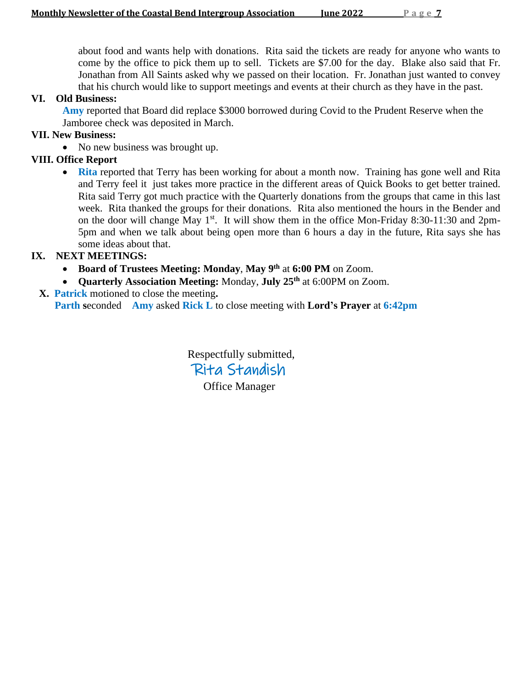about food and wants help with donations. Rita said the tickets are ready for anyone who wants to come by the office to pick them up to sell. Tickets are \$7.00 for the day. Blake also said that Fr. Jonathan from All Saints asked why we passed on their location. Fr. Jonathan just wanted to convey that his church would like to support meetings and events at their church as they have in the past.

### **VI. Old Business:**

 **Amy** reported that Board did replace \$3000 borrowed during Covid to the Prudent Reserve when the Jamboree check was deposited in March.

### **VII. New Business:**

• No new business was brought up.

### **VIII. Office Report**

• **Rita** reported that Terry has been working for about a month now. Training has gone well and Rita and Terry feel it just takes more practice in the different areas of Quick Books to get better trained. Rita said Terry got much practice with the Quarterly donations from the groups that came in this last week. Rita thanked the groups for their donations. Rita also mentioned the hours in the Bender and on the door will change May 1<sup>st</sup>. It will show them in the office Mon-Friday 8:30-11:30 and 2pm-5pm and when we talk about being open more than 6 hours a day in the future, Rita says she has some ideas about that.

### **IX. NEXT MEETINGS:**

- **Board of Trustees Meeting: Monday**, **May 9 th** at **6:00 PM** on Zoom.
- **Quarterly Association Meeting:** Monday, **July 25 th** at 6:00PM on Zoom.
- **X. Patrick** motioned to close the meeting**. Parth s**econded **Amy** asked **Rick L** to close meeting with **Lord's Prayer** at **6:42pm**

Respectfully submitted, Rita Standish Office Manager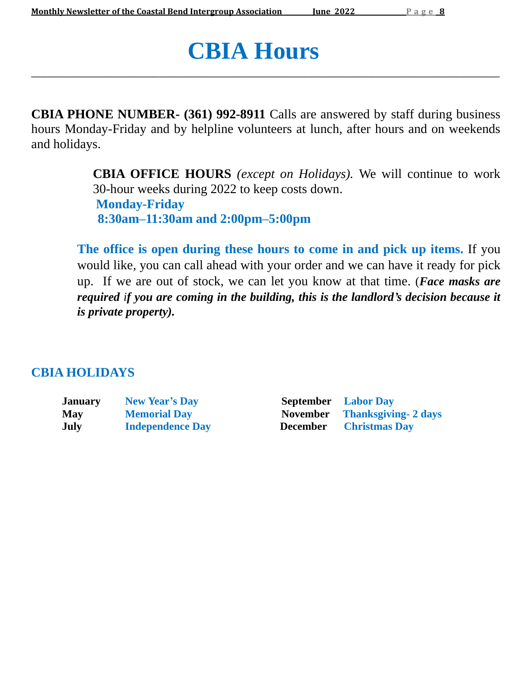# **CBIA Hours**

**CBIA PHONE NUMBER- (361) 992-8911** Calls are answered by staff during business hours Monday-Friday and by helpline volunteers at lunch, after hours and on weekends and holidays.

\_\_\_\_\_\_\_\_\_\_\_\_\_\_\_\_\_\_\_\_\_\_\_\_\_\_\_\_\_\_\_\_\_\_\_\_\_\_\_\_\_\_\_\_\_\_\_\_\_\_\_\_\_\_\_\_\_\_\_\_\_\_\_\_\_\_\_\_\_\_\_\_\_\_\_\_\_

**CBIA OFFICE HOURS** *(except on Holidays).* We will continue to work 30-hour weeks during 2022 to keep costs down. **Monday-Friday 8:30am–11:30am and 2:00pm–5:00pm**

**The office is open during these hours to come in and pick up items.** If you would like, you can call ahead with your order and we can have it ready for pick up. If we are out of stock, we can let you know at that time. (*Face masks are required if you are coming in the building, this is the landlord's decision because it is private property).*

### **CBIA HOLIDAYS**

| <b>January</b> | <b>New Year's Day</b>   |
|----------------|-------------------------|
| <b>May</b>     | <b>Memorial Day</b>     |
| July           | <b>Independence Day</b> |

**September Labor Day May Memorial Day November Thanksgiving- 2 days December Christmas Day**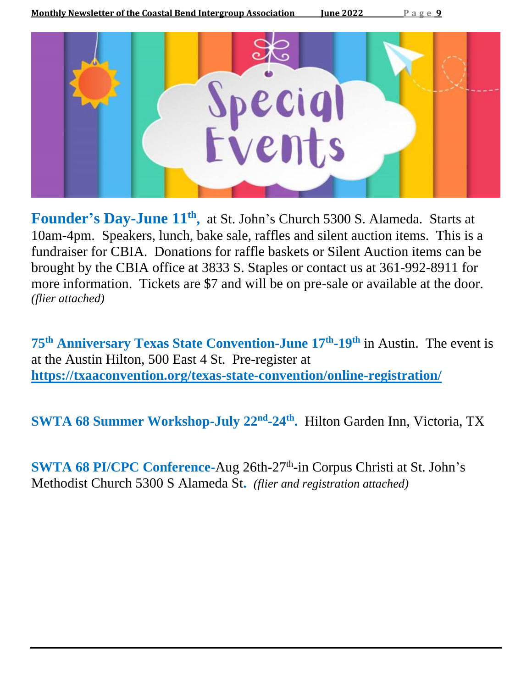

Founder's Day-June  $11<sup>th</sup>$ , at St. John's Church 5300 S. Alameda. Starts at 10am-4pm. Speakers, lunch, bake sale, raffles and silent auction items. This is a fundraiser for CBIA. Donations for raffle baskets or Silent Auction items can be brought by the CBIA office at 3833 S. Staples or contact us at 361-992-8911 for more information. Tickets are \$7 and will be on pre-sale or available at the door. *(flier attached)*

**75th Anniversary Texas State Convention-June 17th -19 th** in Austin. The event is at the Austin Hilton, 500 East 4 St. Pre-register at **<https://txaaconvention.org/texas-state-convention/online-registration/>**

**SWTA 68 Summer Workshop-July 22nd -24th .** Hilton Garden Inn, Victoria, TX

**SWTA 68 PI/CPC Conference-Aug 26th-27<sup>th</sup>-in Corpus Christi at St. John's** Methodist Church 5300 S Alameda St**.** *(flier and registration attached)*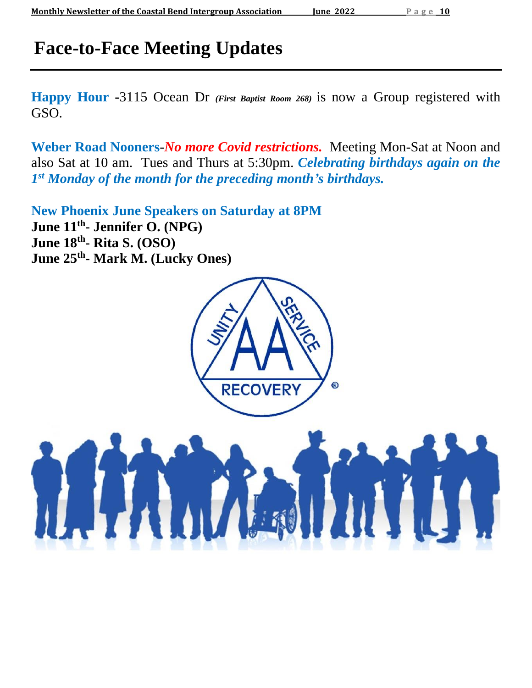# **Face-to-Face Meeting Updates**

**Happy Hour -**3115 Ocean Dr *(First Baptist Room 268)* is now a Group registered with GSO.

**Weber Road Nooners**-*No more Covid restrictions.* Meeting Mon-Sat at Noon and also Sat at 10 am. Tues and Thurs at 5:30pm. *Celebrating birthdays again on the 1 st Monday of the month for the preceding month's birthdays.*

**New Phoenix June Speakers on Saturday at 8PM June 11th - Jennifer O. (NPG) June 18th - Rita S. (OSO) June 25th - Mark M. (Lucky Ones)**

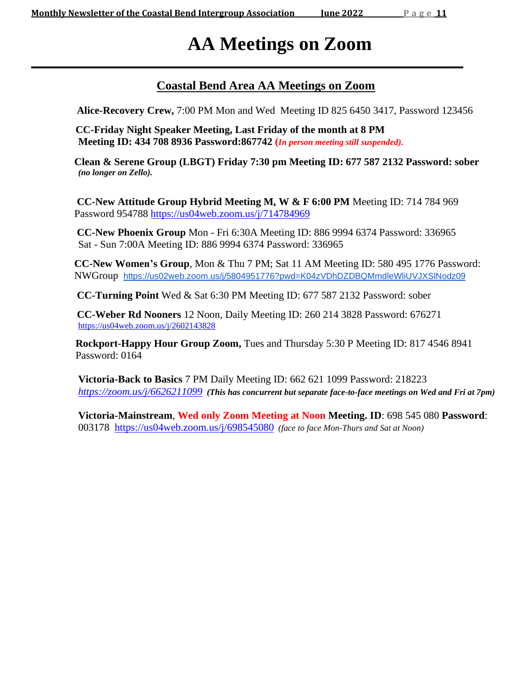# **AA Meetings on Zoom**

### **Coastal Bend Area AA Meetings on Zoom**

**Alice-Recovery Crew,** 7:00 PM Mon and Wed Meeting ID 825 6450 3417, Password 123456

 **CC-Friday Night Speaker Meeting, Last Friday of the month at 8 PM Meeting ID: 434 708 8936 Password:867742 (***In person meeting still suspended).*

**\_\_\_\_\_\_\_\_\_\_\_\_\_\_\_\_\_\_\_\_\_\_\_\_\_\_\_\_\_\_\_\_\_\_\_\_\_\_\_\_\_\_\_\_\_\_\_\_\_\_\_\_\_\_\_\_\_\_\_\_\_\_\_\_\_\_\_\_\_\_\_**

 **Clean & Serene Group (LBGT) Friday 7:30 pm Meeting ID: 677 587 2132 Password: sober** *(no longer on Zello).*

**CC-New Attitude Group Hybrid Meeting M, W & F 6:00 PM** Meeting ID: 714 784 969 Password 954788 <https://us04web.zoom.us/j/714784969>

**CC-New Phoenix Group** Mon - Fri 6:30A Meeting ID: 886 9994 6374 Password: 336965 Sat - Sun 7:00A Meeting ID: 886 9994 6374 Password: 336965

**CC-New Women's Group**, Mon & Thu 7 PM; Sat 11 AM Meeting ID: 580 495 1776 Password: NWGroup <https://us02web.zoom.us/j/5804951776?pwd=K04zVDhDZDBQMmdleWliUVJXSlNodz09>

 **CC-Turning Point** Wed & Sat 6:30 PM Meeting ID: 677 587 2132 Password: sober

 **CC-Weber Rd Nooners** 12 Noon, Daily Meeting ID: 260 214 3828 Password: 676271 <https://us04web.zoom.us/j/2602143828>

 **Rockport-Happy Hour Group Zoom,** Tues and Thursday 5:30 P Meeting ID: 817 4546 8941 Password: 0164

 **Victoria-Back to Basics** 7 PM Daily Meeting ID: 662 621 1099 Password: 218223 *<https://zoom.us/j/6626211099> (This has concurrent but separate face-to-face meetings on Wed and Fri at 7pm)*

**Victoria-Mainstream**, **Wed only Zoom Meeting at Noon Meeting. ID**: 698 545 080 **Password**: 003178 <https://us04web.zoom.us/j/698545080> *(face to face Mon-Thurs and Sat at Noon)*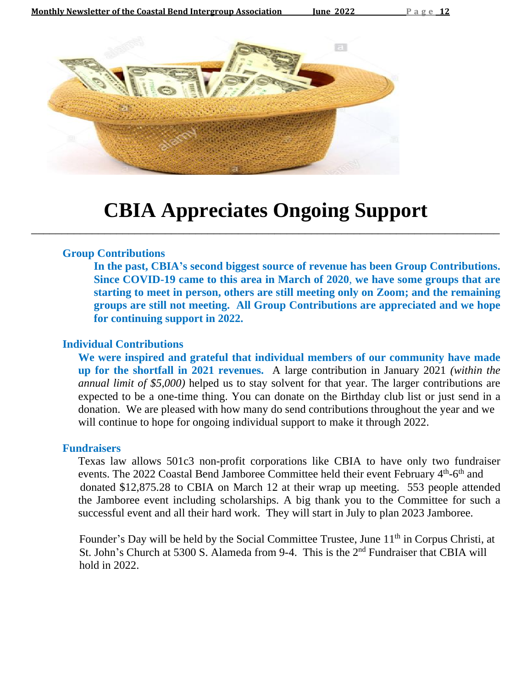

# **CBIA Appreciates Ongoing Support**

\_\_\_\_\_\_\_\_\_\_\_\_\_\_\_\_\_\_\_\_\_\_\_\_\_\_\_\_\_\_\_\_\_\_\_\_\_\_\_\_\_\_\_\_\_\_\_\_\_\_\_\_\_\_\_\_\_\_\_\_\_\_\_\_\_\_\_\_\_\_\_\_\_\_\_\_\_

#### **Group Contributions**

**In the past, CBIA's second biggest source of revenue has been Group Contributions. Since COVID-19 came to this area in March of 2020**, **we have some groups that are starting to meet in person, others are still meeting only on Zoom; and the remaining groups are still not meeting. All Group Contributions are appreciated and we hope for continuing support in 2022.**

### **Individual Contributions**

**We were inspired and grateful that individual members of our community have made up for the shortfall in 2021 revenues.** A large contribution in January 2021 *(within the annual limit of \$5,000)* helped us to stay solvent for that year. The larger contributions are expected to be a one-time thing. You can donate on the Birthday club list or just send in a donation. We are pleased with how many do send contributions throughout the year and we will continue to hope for ongoing individual support to make it through 2022.

#### **Fundraisers**

Texas law allows 501c3 non-profit corporations like CBIA to have only two fundraiser events. The 2022 Coastal Bend Jamboree Committee held their event February 4<sup>th</sup>-6<sup>th</sup> and donated \$12,875.28 to CBIA on March 12 at their wrap up meeting. 553 people attended the Jamboree event including scholarships. A big thank you to the Committee for such a successful event and all their hard work. They will start in July to plan 2023 Jamboree.

Founder's Day will be held by the Social Committee Trustee, June 11<sup>th</sup> in Corpus Christi, at St. John's Church at 5300 S. Alameda from 9-4. This is the 2<sup>nd</sup> Fundraiser that CBIA will hold in 2022.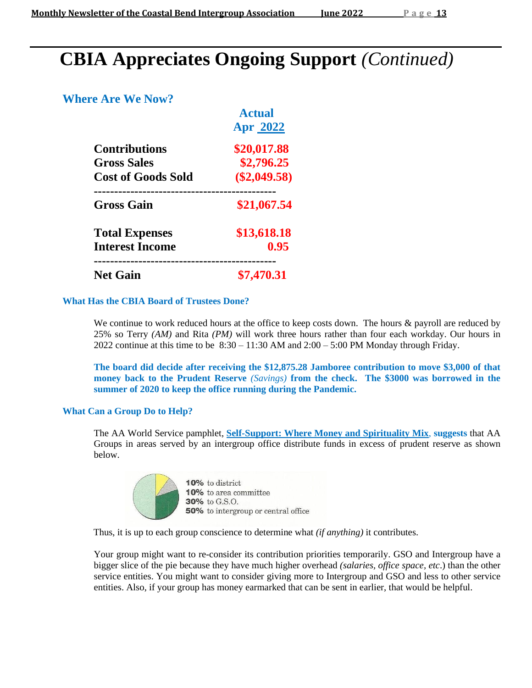# **CBIA Appreciates Ongoing Support** *(Continued)*

### **Where Are We Now?**

|                                                 | <b>Actual</b><br><b>Apr 2022</b> |
|-------------------------------------------------|----------------------------------|
| <b>Contributions</b>                            | \$20,017.88                      |
| <b>Gross Sales</b>                              | \$2,796.25                       |
| <b>Cost of Goods Sold</b>                       | $(\$2,049.58)$                   |
| <b>Gross Gain</b>                               | \$21,067.54                      |
| <b>Total Expenses</b><br><b>Interest Income</b> | \$13,618.18<br>0.95              |
| <b>Net Gain</b>                                 | \$7,470.31                       |

### **What Has the CBIA Board of Trustees Done?**

We continue to work reduced hours at the office to keep costs down. The hours & payroll are reduced by 25% so Terry *(AM)* and Rita *(PM)* will work three hours rather than four each workday. Our hours in 2022 continue at this time to be  $8:30 - 11:30$  AM and  $2:00 - 5:00$  PM Monday through Friday.

**The board did decide after receiving the \$12,875.28 Jamboree contribution to move \$3,000 of that money back to the Prudent Reserve** *(Savings)* **from the check. The \$3000 was borrowed in the summer of 2020 to keep the office running during the Pandemic.**

### **What Can a Group Do to Help?**

The AA World Service pamphlet, **Self-Support: Where Money and Spirituality Mix**, **suggests** that AA Groups in areas served by an intergroup office distribute funds in excess of prudent reserve as shown below.

|  | 10% to district                            |
|--|--------------------------------------------|
|  | 10% to area committee                      |
|  | 30% to G.S.O.                              |
|  | <b>50%</b> to intergroup or central office |
|  |                                            |

Thus, it is up to each group conscience to determine what *(if anything)* it contributes.

Your group might want to re-consider its contribution priorities temporarily. GSO and Intergroup have a bigger slice of the pie because they have much higher overhead *(salaries, office space, etc*.) than the other service entities. You might want to consider giving more to Intergroup and GSO and less to other service entities. Also, if your group has money earmarked that can be sent in earlier, that would be helpful.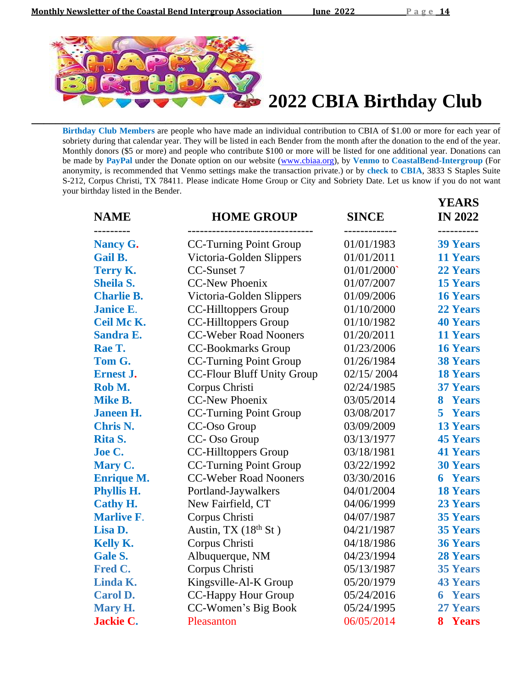

**Birthday Club Members** are people who have made an individual contribution to CBIA of \$1.00 or more for each year of sobriety during that calendar year. They will be listed in each Bender from the month after the donation to the end of the year. Monthly donors (\$5 or more) and people who contribute \$100 or more will be listed for one additional year. Donations can be made by **PayPal** under the Donate option on our website [\(www.cbiaa.org\)](http://www.cbiaa.org/), by **Venmo** to **CoastalBend-Intergroup** (For anonymity, is recommended that Venmo settings make the transaction private.) or by **check** to **CBIA**, 3833 S Staples Suite S-212, Corpus Christi, TX 78411. Please indicate Home Group or City and Sobriety Date. Let us know if you do not want your birthday listed in the Bender.

**\_\_\_\_\_\_\_\_\_\_\_\_\_\_\_\_\_\_\_\_\_\_\_\_\_\_\_\_\_\_\_\_\_\_\_\_\_\_\_\_\_\_\_\_\_\_\_\_\_\_\_\_\_\_\_\_\_\_\_\_\_\_\_\_\_\_\_\_\_\_\_\_\_\_\_\_\_**

| <b>NAME</b><br>-------- | <b>HOME GROUP</b>                 | <b>SINCE</b> | <b>YEARS</b><br><b>IN 2022</b><br>---------- |
|-------------------------|-----------------------------------|--------------|----------------------------------------------|
| <b>Nancy G.</b>         | <b>CC-Turning Point Group</b>     | 01/01/1983   | <b>39 Years</b>                              |
| <b>Gail B.</b>          | Victoria-Golden Slippers          | 01/01/2011   | <b>11 Years</b>                              |
| Terry K.                | CC-Sunset 7                       | 01/01/2000   | <b>22 Years</b>                              |
| <b>Sheila S.</b>        | <b>CC-New Phoenix</b>             | 01/07/2007   | <b>15 Years</b>                              |
| <b>Charlie B.</b>       | Victoria-Golden Slippers          | 01/09/2006   | <b>16 Years</b>                              |
| <b>Janice E.</b>        | <b>CC-Hilltoppers Group</b>       | 01/10/2000   | <b>22 Years</b>                              |
| Ceil Mc K.              | <b>CC-Hilltoppers Group</b>       | 01/10/1982   | <b>40 Years</b>                              |
| <b>Sandra E.</b>        | <b>CC-Weber Road Nooners</b>      | 01/20/2011   | <b>11 Years</b>                              |
| Rae T.                  | <b>CC-Bookmarks Group</b>         | 01/23/2006   | <b>16 Years</b>                              |
| Tom G.                  | <b>CC-Turning Point Group</b>     | 01/26/1984   | <b>38 Years</b>                              |
| <b>Ernest J.</b>        | <b>CC-Flour Bluff Unity Group</b> | 02/15/2004   | <b>18 Years</b>                              |
| Rob M.                  | Corpus Christi                    | 02/24/1985   | <b>37 Years</b>                              |
| <b>Mike B.</b>          | <b>CC-New Phoenix</b>             | 03/05/2014   | 8 Years                                      |
| <b>Janeen H.</b>        | <b>CC-Turning Point Group</b>     | 03/08/2017   | 5 Years                                      |
| <b>Chris N.</b>         | CC-Oso Group                      | 03/09/2009   | <b>13 Years</b>                              |
| Rita S.                 | CC-Oso Group                      | 03/13/1977   | <b>45 Years</b>                              |
| Joe C.                  | CC-Hilltoppers Group              | 03/18/1981   | <b>41 Years</b>                              |
| Mary C.                 | <b>CC-Turning Point Group</b>     | 03/22/1992   | <b>30 Years</b>                              |
| <b>Enrique M.</b>       | <b>CC-Weber Road Nooners</b>      | 03/30/2016   | <b>6 Years</b>                               |
| <b>Phyllis H.</b>       | Portland-Jaywalkers               | 04/01/2004   | <b>18 Years</b>                              |
| <b>Cathy H.</b>         | New Fairfield, CT                 | 04/06/1999   | <b>23 Years</b>                              |
| <b>Marlive F.</b>       | Corpus Christi                    | 04/07/1987   | <b>35 Years</b>                              |
| Lisa D.                 | Austin, TX $(18th$ St)            | 04/21/1987   | <b>35 Years</b>                              |
| <b>Kelly K.</b>         | Corpus Christi                    | 04/18/1986   | <b>36 Years</b>                              |
| <b>Gale S.</b>          | Albuquerque, NM                   | 04/23/1994   | <b>28 Years</b>                              |
| Fred C.                 | Corpus Christi                    | 05/13/1987   | <b>35 Years</b>                              |
| Linda K.                | Kingsville-Al-K Group             | 05/20/1979   | <b>43 Years</b>                              |
| <b>Carol D.</b>         | CC-Happy Hour Group               | 05/24/2016   | <b>6 Years</b>                               |
| Mary H.                 | CC-Women's Big Book               | 05/24/1995   | <b>27 Years</b>                              |
| <b>Jackie C.</b>        | Pleasanton                        | 06/05/2014   | 8 Years                                      |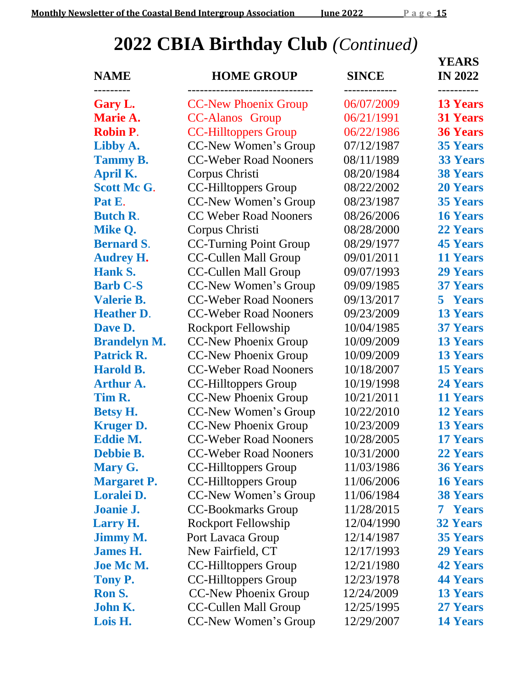# **2022 CBIA Birthday Club** *(Continued)*

| <b>NAME</b><br>.    | <b>HOME GROUP</b>             | <b>SINCE</b> | <b>YEARS</b><br><b>IN 2022</b><br>. <u>.</u> . |
|---------------------|-------------------------------|--------------|------------------------------------------------|
| Gary L.             | <b>CC-New Phoenix Group</b>   | 06/07/2009   | <b>13 Years</b>                                |
| Marie A.            | <b>CC-Alanos</b> Group        | 06/21/1991   | <b>31 Years</b>                                |
| <b>Robin P.</b>     | <b>CC-Hilltoppers Group</b>   | 06/22/1986   | <b>36 Years</b>                                |
| Libby A.            | CC-New Women's Group          | 07/12/1987   | <b>35 Years</b>                                |
| <b>Tammy B.</b>     | <b>CC-Weber Road Nooners</b>  | 08/11/1989   | <b>33 Years</b>                                |
| April K.            | Corpus Christi                | 08/20/1984   | <b>38 Years</b>                                |
| <b>Scott McG.</b>   | <b>CC-Hilltoppers Group</b>   | 08/22/2002   | <b>20 Years</b>                                |
| Pat E.              | CC-New Women's Group          | 08/23/1987   | <b>35 Years</b>                                |
| <b>Butch R.</b>     | <b>CC Weber Road Nooners</b>  | 08/26/2006   | <b>16 Years</b>                                |
| Mike Q.             | Corpus Christi                | 08/28/2000   | <b>22 Years</b>                                |
| <b>Bernard S.</b>   | <b>CC-Turning Point Group</b> | 08/29/1977   | <b>45 Years</b>                                |
| <b>Audrey H.</b>    | <b>CC-Cullen Mall Group</b>   | 09/01/2011   | <b>11 Years</b>                                |
| <b>Hank S.</b>      | <b>CC-Cullen Mall Group</b>   | 09/07/1993   | <b>29 Years</b>                                |
| <b>Barb C-S</b>     | CC-New Women's Group          | 09/09/1985   | <b>37 Years</b>                                |
| <b>Valerie B.</b>   | <b>CC-Weber Road Nooners</b>  | 09/13/2017   | 5 Years                                        |
| <b>Heather D.</b>   | <b>CC-Weber Road Nooners</b>  | 09/23/2009   | <b>13 Years</b>                                |
| Dave D.             | <b>Rockport Fellowship</b>    | 10/04/1985   | <b>37 Years</b>                                |
| <b>Brandelyn M.</b> | <b>CC-New Phoenix Group</b>   | 10/09/2009   | <b>13 Years</b>                                |
| <b>Patrick R.</b>   | <b>CC-New Phoenix Group</b>   | 10/09/2009   | <b>13 Years</b>                                |
| <b>Harold B.</b>    | <b>CC-Weber Road Nooners</b>  | 10/18/2007   | <b>15 Years</b>                                |
| <b>Arthur A.</b>    | <b>CC-Hilltoppers Group</b>   | 10/19/1998   | <b>24 Years</b>                                |
| Tim R.              | CC-New Phoenix Group          | 10/21/2011   | <b>11 Years</b>                                |
| <b>Betsy H.</b>     | CC-New Women's Group          | 10/22/2010   | <b>12 Years</b>                                |
| <b>Kruger D.</b>    | <b>CC-New Phoenix Group</b>   | 10/23/2009   | <b>13 Years</b>                                |
| <b>Eddie M.</b>     | <b>CC-Weber Road Nooners</b>  | 10/28/2005   | <b>17 Years</b>                                |
| Debbie B.           | <b>CC-Weber Road Nooners</b>  | 10/31/2000   | <b>22 Years</b>                                |
| Mary G.             | <b>CC-Hilltoppers Group</b>   | 11/03/1986   | <b>36 Years</b>                                |
| <b>Margaret P.</b>  | <b>CC-Hilltoppers Group</b>   | 11/06/2006   | <b>16 Years</b>                                |
| Loralei D.          | CC-New Women's Group          | 11/06/1984   | <b>38 Years</b>                                |
| Joanie J.           | <b>CC-Bookmarks Group</b>     | 11/28/2015   | <b>7 Years</b>                                 |
| <b>Larry H.</b>     | <b>Rockport Fellowship</b>    | 12/04/1990   | <b>32 Years</b>                                |
| <b>Jimmy M.</b>     | Port Lavaca Group             | 12/14/1987   | <b>35 Years</b>                                |
| <b>James H.</b>     | New Fairfield, CT             | 12/17/1993   | <b>29 Years</b>                                |
| <b>Joe Mc M.</b>    | <b>CC-Hilltoppers Group</b>   | 12/21/1980   | <b>42 Years</b>                                |
| Tony P.             | <b>CC-Hilltoppers Group</b>   | 12/23/1978   | <b>44 Years</b>                                |
| Ron S.              | <b>CC-New Phoenix Group</b>   | 12/24/2009   | <b>13 Years</b>                                |
| John K.             | <b>CC-Cullen Mall Group</b>   | 12/25/1995   | <b>27 Years</b>                                |
| Lois H.             | CC-New Women's Group          | 12/29/2007   | <b>14 Years</b>                                |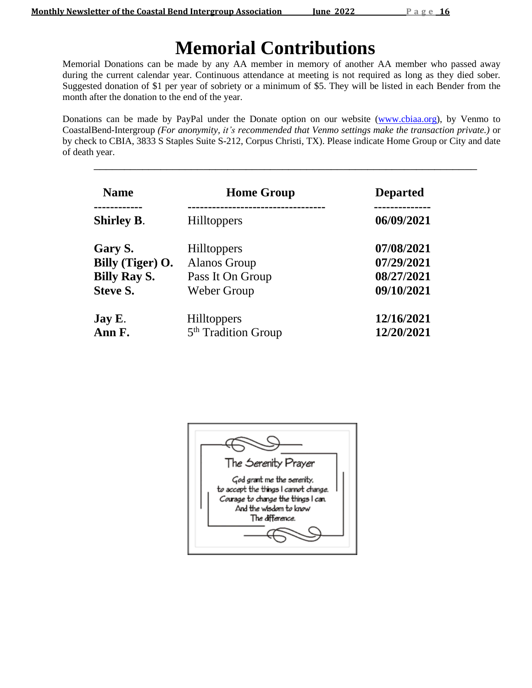# **Memorial Contributions**

Memorial Donations can be made by any AA member in memory of another AA member who passed away during the current calendar year. Continuous attendance at meeting is not required as long as they died sober*.* Suggested donation of \$1 per year of sobriety or a minimum of \$5. They will be listed in each Bender from the month after the donation to the end of the year.

Donations can be made by PayPal under the Donate option on our website [\(www.cbiaa.org\)](http://www.cbiaa.org/), by Venmo to CoastalBend-Intergroup *(For anonymity, it's recommended that Venmo settings make the transaction private.)* or by check to CBIA, 3833 S Staples Suite S-212, Corpus Christi, TX). Please indicate Home Group or City and date of death year.

\_\_\_\_\_\_\_\_\_\_\_\_\_\_\_\_\_\_\_\_\_\_\_\_\_\_\_\_\_\_\_\_\_\_\_\_\_\_\_\_\_\_\_\_\_\_\_\_\_\_\_\_\_\_\_\_\_\_\_\_\_\_\_

| <b>Name</b>         | <b>Home Group</b>               | <b>Departed</b> |
|---------------------|---------------------------------|-----------------|
|                     |                                 |                 |
| <b>Shirley B.</b>   | <b>Hilltoppers</b>              | 06/09/2021      |
| Gary S.             | <b>Hilltoppers</b>              | 07/08/2021      |
| Billy (Tiger) O.    | <b>Alanos Group</b>             | 07/29/2021      |
| <b>Billy Ray S.</b> | Pass It On Group                | 08/27/2021      |
| <b>Steve S.</b>     | Weber Group                     | 09/10/2021      |
| Jay E.              | <b>Hilltoppers</b>              | 12/16/2021      |
| Ann F.              | 5 <sup>th</sup> Tradition Group | 12/20/2021      |

| The Serenity Prayer                                                                                                                                     |  |
|---------------------------------------------------------------------------------------------------------------------------------------------------------|--|
| God grant me the serenity.<br>to accept the things I cannot change.<br>Courage to change the things I can.<br>And the wisdom to know<br>The difference. |  |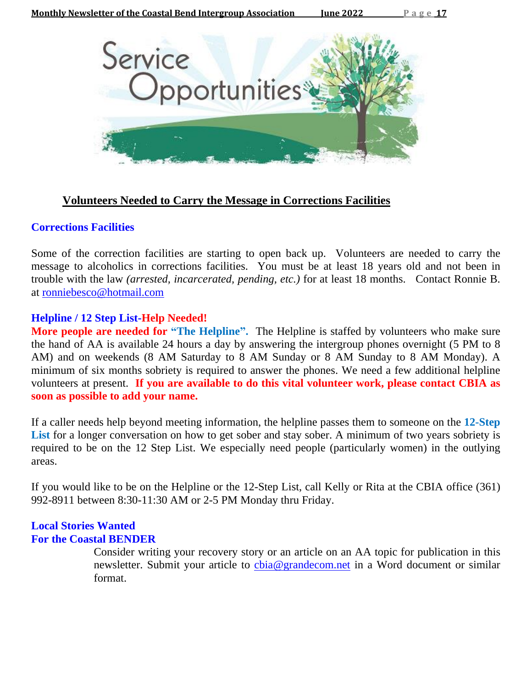

### **Volunteers Needed to Carry the Message in Corrections Facilities**

### **Corrections Facilities**

Some of the correction facilities are starting to open back up. Volunteers are needed to carry the message to alcoholics in corrections facilities. You must be at least 18 years old and not been in trouble with the law *(arrested, incarcerated, pending, etc.)* for at least 18 months. Contact Ronnie B. at [ronniebesco@hotmail.com](mailto:ronniebesco@hotmail.com)

### **Helpline / 12 Step List-Help Needed!**

**More people are needed for "The Helpline".** The Helpline is staffed by volunteers who make sure the hand of AA is available 24 hours a day by answering the intergroup phones overnight (5 PM to 8 AM) and on weekends (8 AM Saturday to 8 AM Sunday or 8 AM Sunday to 8 AM Monday). A minimum of six months sobriety is required to answer the phones. We need a few additional helpline volunteers at present. **If you are available to do this vital volunteer work, please contact CBIA as soon as possible to add your name.**

If a caller needs help beyond meeting information, the helpline passes them to someone on the **12-Step** List for a longer conversation on how to get sober and stay sober. A minimum of two years sobriety is required to be on the 12 Step List. We especially need people (particularly women) in the outlying areas.

If you would like to be on the Helpline or the 12-Step List, call Kelly or Rita at the CBIA office (361) 992-8911 between 8:30-11:30 AM or 2-5 PM Monday thru Friday.

### **Local Stories Wanted For the Coastal BENDER**

Consider writing your recovery story or an article on an AA topic for publication in this newsletter. Submit your article to chia@grandecom.net in a Word document or similar format.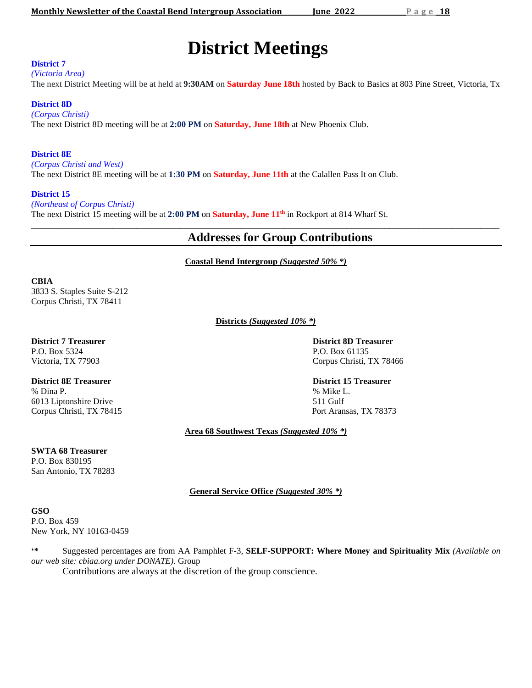# **District Meetings**

#### **District 7**

*(Victoria Area)*

The next District Meeting will be at held at **9:30AM** on **Saturday June 18th** hosted by Back to Basics at 803 Pine Street, Victoria, Tx

#### **District 8D**

*(Corpus Christi)* The next District 8D meeting will be at **2:00 PM** on **Saturday, June 18th** at New Phoenix Club.

#### **District 8E**

*(Corpus Christi and West)*

The next District 8E meeting will be at **1:30 PM** on **Saturday, June 11th** at the Calallen Pass It on Club.

#### **District 15**

*(Northeast of Corpus Christi)* The next District 15 meeting will be at **2:00 PM** on **Saturday, June 11 th** in Rockport at 814 Wharf St. \_\_\_\_\_\_\_\_\_\_\_\_\_\_\_\_\_\_\_\_\_\_\_\_\_\_\_\_\_\_\_\_\_\_\_\_\_\_\_\_\_\_\_\_\_\_\_\_\_\_\_\_\_\_\_\_\_\_\_\_\_\_\_\_\_\_\_\_\_\_\_\_\_\_\_\_\_\_\_\_\_\_\_\_\_\_\_\_\_\_\_\_\_\_\_\_\_\_

### **Addresses for Group Contributions**

**Coastal Bend Intergroup** *(Suggested 50% \*)*

#### **CBIA**

3833 S. Staples Suite S-212 Corpus Christi, TX 78411

**Districts** *(Suggested 10% \*)*

# P.O. Box 5324 P.O. Box 61135

**District 7 Treasurer District 8D Treasurer** Victoria, TX 77903 Corpus Christi, TX 78466

**District 8E Treasurer District 15 Treasurer** % Dina P. % Mike L. 6013 Liptonshire Drive 511 Gulf Corpus Christi, TX 78415 Port Aransas, TX 78373

**Area 68 Southwest Texas** *(Suggested 10% \*)*

#### **SWTA 68 Treasurer** P.O. Box 830195 San Antonio, TX 78283

**General Service Office** *(Suggested 30% \*)*

**GSO** P.O. Box 459 New York, NY 10163-0459

**'\*** Suggested percentages are from AA Pamphlet F-3, **SELF-SUPPORT: Where Money and Spirituality Mix** *(Available on our web site: cbiaa.org under DONATE).* Group

Contributions are always at the discretion of the group conscience.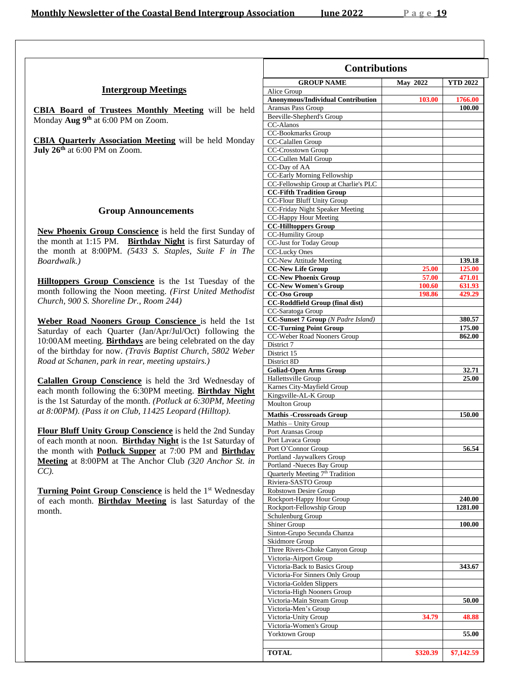|  | <b>Intergroup Meetings</b> |  |
|--|----------------------------|--|
|--|----------------------------|--|

**CBIA Board of Trustees Monthly Meeting** will be held Monday **Aug 9 th** at 6:00 PM on Zoom.

**CBIA Quarterly Association Meeting** will be held Monday **July 26 th** at 6:00 PM on Zoom.

#### **Group Announcements**

**New Phoenix Group Conscience** is held the first Sunday of the month at 1:15 PM. **Birthday Night** is first Saturday of the month at 8:00PM. *(5433 S. Staples, Suite F in The Boardwalk.)*

**Hilltoppers Group Conscience** is the 1st Tuesday of the month following the Noon meeting. *(First United Methodist Church, 900 S. Shoreline Dr., Room 244)*

**Weber Road Nooners Group Conscience** is held the 1st Saturday of each Quarter (Jan/Apr/Jul/Oct) following the 10:00AM meeting. **Birthdays** are being celebrated on the day of the birthday for now. *(Travis Baptist Church, 5802 Weber Road at Schanen, park in rear, meeting upstairs.)*

**Calallen Group Conscience** is held the 3rd Wednesday of each month following the 6:30PM meeting. **Birthday Night** is the 1st Saturday of the month. *(Potluck at 6:30PM, Meeting at 8:00PM). (Pass it on Club, 11425 Leopard (Hilltop).*

**Flour Bluff Unity Group Conscience** is held the 2nd Sunday of each month at noon. **Birthday Night** is the 1st Saturday of the month with **Potluck Supper** at 7:00 PM and **Birthday Meeting** at 8:00PM at The Anchor Club *(320 Anchor St. in CC).*

Turning Point Group Conscience is held the 1<sup>st</sup> Wednesday of each month. **Birthday Meeting** is last Saturday of the month.

| <b>Contributions</b>                                           |                 |                   |  |
|----------------------------------------------------------------|-----------------|-------------------|--|
| <b>GROUP NAME</b>                                              | <b>May 2022</b> | <b>YTD 2022</b>   |  |
| Alice Group                                                    |                 |                   |  |
| <b>Anonymous/Individual Contribution</b><br>Aransas Pass Group | 103.00          | 1766.00<br>100.00 |  |
| Beeville-Shepherd's Group                                      |                 |                   |  |
| CC-Alanos                                                      |                 |                   |  |
| CC-Bookmarks Group                                             |                 |                   |  |
| CC-Calallen Group                                              |                 |                   |  |
| CC-Crosstown Group<br>CC-Cullen Mall Group                     |                 |                   |  |
| CC-Day of AA                                                   |                 |                   |  |
| CC-Early Morning Fellowship                                    |                 |                   |  |
| CC-Fellowship Group at Charlie's PLC                           |                 |                   |  |
| <b>CC-Fifth Tradition Group</b>                                |                 |                   |  |
| CC-Flour Bluff Unity Group<br>CC-Friday Night Speaker Meeting  |                 |                   |  |
| CC-Happy Hour Meeting                                          |                 |                   |  |
| <b>CC-Hilltoppers Group</b>                                    |                 |                   |  |
| <b>CC-Humility Group</b>                                       |                 |                   |  |
| CC-Just for Today Group                                        |                 |                   |  |
| <b>CC-Lucky Ones</b>                                           |                 |                   |  |
| <b>CC-New Attitude Meeting</b>                                 |                 | 139.18            |  |
| <b>CC-New Life Group</b><br><b>CC-New Phoenix Group</b>        | 25.00<br>57.00  | 125.00<br>471.01  |  |
| <b>CC-New Women's Group</b>                                    | 100.60          | 631.93            |  |
| <b>CC-Oso Group</b>                                            | 198.86          | 429.29            |  |
| <b>CC-Roddfield Group (final dist)</b>                         |                 |                   |  |
| CC-Saratoga Group                                              |                 |                   |  |
| CC-Sunset 7 Group (N Padre Island)                             |                 | 380.57            |  |
| <b>CC-Turning Point Group</b>                                  |                 | 175.00            |  |
| CC-Weber Road Nooners Group<br>District 7                      |                 | 862.00            |  |
| District 15                                                    |                 |                   |  |
| District 8D                                                    |                 |                   |  |
| <b>Goliad-Open Arms Group</b>                                  |                 | 32.71             |  |
| Hallettsville Group                                            |                 | 25.00             |  |
| Karnes City-Mayfield Group                                     |                 |                   |  |
| Kingsville-AL-K Group<br><b>Moulton Group</b>                  |                 |                   |  |
|                                                                |                 |                   |  |
| <b>Mathis -Crossroads Group</b>                                |                 | 150.00            |  |
| Mathis - Unity Group<br>Port Aransas Group                     |                 |                   |  |
| Port Lavaca Group                                              |                 |                   |  |
| Port O'Connor Group                                            |                 | 56.54             |  |
| Portland -Jaywalkers Group                                     |                 |                   |  |
| Portland -Nueces Bay Group                                     |                 |                   |  |
| Quarterly Meeting 7 <sup>th</sup> Tradition                    |                 |                   |  |
| Riviera-SASTO Group<br>Robstown Desire Group                   |                 |                   |  |
| Rockport-Happy Hour Group                                      |                 | 240.00            |  |
| Rockport-Fellowship Group                                      |                 | 1281.00           |  |
| Schulenburg Group                                              |                 |                   |  |
| Shiner Group                                                   |                 | 100.00            |  |
| Sinton-Grupo Secunda Chanza                                    |                 |                   |  |
| <b>Skidmore Group</b><br>Three Rivers-Choke Canyon Group       |                 |                   |  |
| Victoria-Airport Group                                         |                 |                   |  |
| Victoria-Back to Basics Group                                  |                 | 343.67            |  |
| Victoria-For Sinners Only Group                                |                 |                   |  |
| Victoria-Golden Slippers                                       |                 |                   |  |
| Victoria-High Nooners Group                                    |                 |                   |  |
| Victoria-Main Stream Group                                     |                 | 50.00             |  |
| Victoria-Men's Group<br>Victoria-Unity Group                   |                 |                   |  |
| Victoria-Women's Group                                         | 34.79           | 48.88             |  |
| Yorktown Group                                                 |                 | 55.00             |  |
|                                                                |                 |                   |  |
| <b>TOTAL</b>                                                   | \$320.39        | \$7,142.59        |  |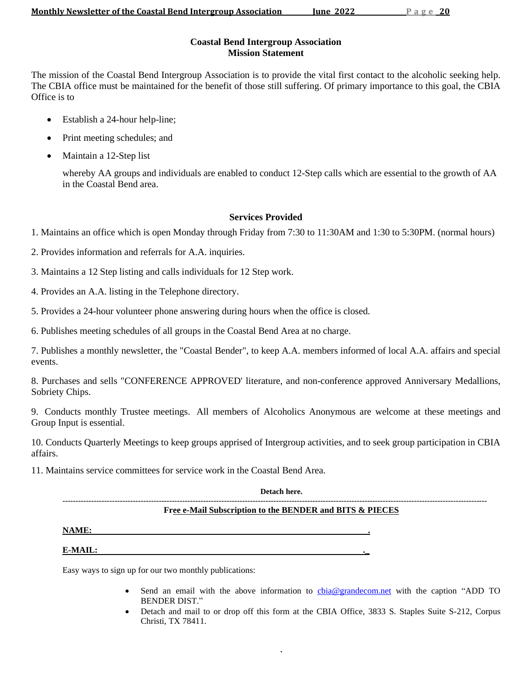#### **Coastal Bend Intergroup Association Mission Statement**

The mission of the Coastal Bend Intergroup Association is to provide the vital first contact to the alcoholic seeking help. The CBIA office must be maintained for the benefit of those still suffering. Of primary importance to this goal, the CBIA Office is to

- Establish a 24-hour help-line;
- Print meeting schedules; and
- Maintain a 12-Step list

whereby AA groups and individuals are enabled to conduct 12-Step calls which are essential to the growth of AA in the Coastal Bend area.

### **Services Provided**

1. Maintains an office which is open Monday through Friday from 7:30 to 11:30AM and 1:30 to 5:30PM. (normal hours)

2. Provides information and referrals for A.A. inquiries.

- 3. Maintains a 12 Step listing and calls individuals for 12 Step work.
- 4. Provides an A.A. listing in the Telephone directory.

5. Provides a 24-hour volunteer phone answering during hours when the office is closed.

6. Publishes meeting schedules of all groups in the Coastal Bend Area at no charge.

7. Publishes a monthly newsletter, the "Coastal Bender", to keep A.A. members informed of local A.A. affairs and special events.

8. Purchases and sells "CONFERENCE APPROVED' literature, and non-conference approved Anniversary Medallions, Sobriety Chips.

9. Conducts monthly Trustee meetings. All members of Alcoholics Anonymous are welcome at these meetings and Group Input is essential.

10. Conducts Quarterly Meetings to keep groups apprised of Intergroup activities, and to seek group participation in CBIA affairs.

11. Maintains service committees for service work in the Coastal Bend Area.

#### **Detach here.**

#### **------------------------------------------------------------------------------------------------------------------------------------------------------------------- Free e-Mail Subscription to the BENDER and BITS & PIECES**

**.**

**NAME: .**

#### **E-MAIL: .\_**

Easy ways to sign up for our two monthly publications:

- Send an email with the above information to [cbia@grandecom.net](mailto:cbia@grandecom.net) with the caption "ADD TO BENDER DIST."
- Detach and mail to or drop off this form at the CBIA Office, 3833 S. Staples Suite S-212, Corpus Christi, TX 78411.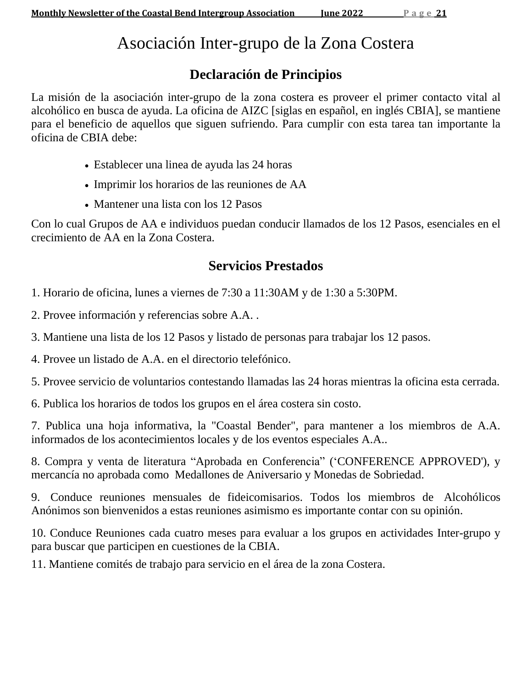# Asociación Inter-grupo de la Zona Costera

## **Declaración de Principios**

La misión de la asociación inter-grupo de la zona costera es proveer el primer contacto vital al alcohólico en busca de ayuda. La oficina de AIZC [siglas en español, en inglés CBIA], se mantiene para el beneficio de aquellos que siguen sufriendo. Para cumplir con esta tarea tan importante la oficina de CBIA debe:

- Establecer una linea de ayuda las 24 horas
- Imprimir los horarios de las reuniones de AA
- Mantener una lista con los 12 Pasos

Con lo cual Grupos de AA e individuos puedan conducir llamados de los 12 Pasos, esenciales en el crecimiento de AA en la Zona Costera.

## **Servicios Prestados**

1. Horario de oficina, lunes a viernes de 7:30 a 11:30AM y de 1:30 a 5:30PM.

2. Provee información y referencias sobre A.A. .

3. Mantiene una lista de los 12 Pasos y listado de personas para trabajar los 12 pasos.

4. Provee un listado de A.A. en el directorio telefónico.

5. Provee servicio de voluntarios contestando llamadas las 24 horas mientras la oficina esta cerrada.

6. Publica los horarios de todos los grupos en el área costera sin costo.

7. Publica una hoja informativa, la "Coastal Bender", para mantener a los miembros de A.A. informados de los acontecimientos locales y de los eventos especiales A.A..

8. Compra y venta de literatura "Aprobada en Conferencia" ('CONFERENCE APPROVED'), y mercancía no aprobada como Medallones de Aniversario y Monedas de Sobriedad.

9. Conduce reuniones mensuales de fideicomisarios. Todos los miembros de Alcohólicos Anónimos son bienvenidos a estas reuniones asimismo es importante contar con su opinión.

10. Conduce Reuniones cada cuatro meses para evaluar a los grupos en actividades Inter-grupo y para buscar que participen en cuestiones de la CBIA.

11. Mantiene comités de trabajo para servicio en el área de la zona Costera.